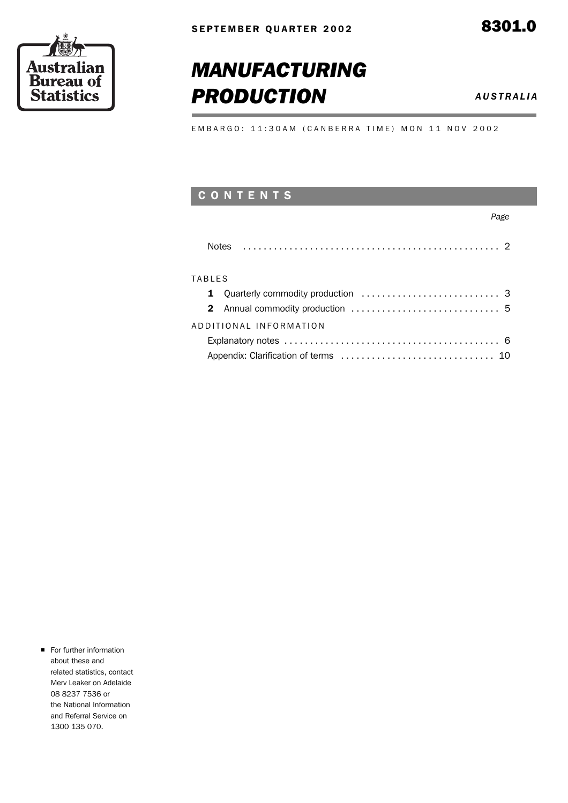

## *MANUFACTURING* **PRODUCTION** *AUSTRALIA*

EMBARGO: 11:30AM (CANBERRA TIME) MON 11 NOV 2002

## C O N T E N T S

### *Page*

### **TABLES**

| ADDITIONAL INFORMATION |
|------------------------|
|                        |
|                        |

**For further information** about these and related statistics, contact Merv Leaker on Adelaide 08 8237 7536 or the National Information and Referral Service on 1300 135 070.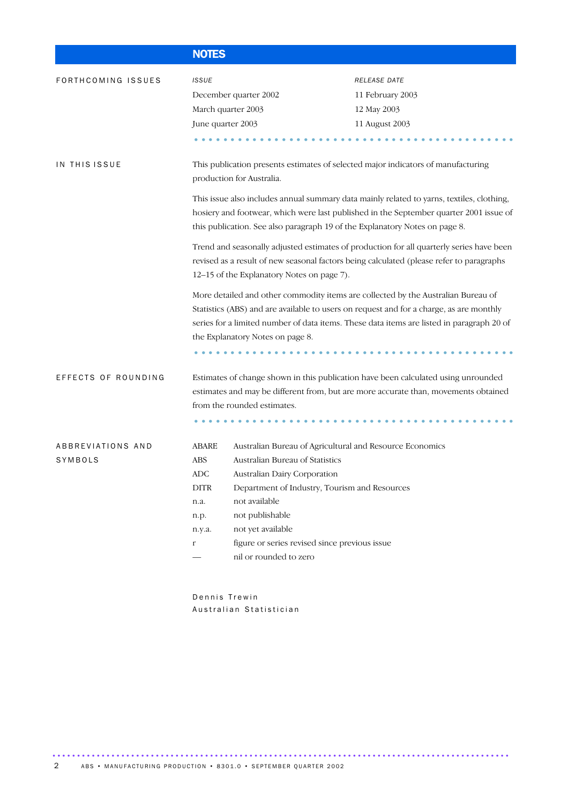|                              | <b>NOTES</b>                                                                       |                                                                                                                                                                                                                                                                                                                         |                                                                                                                                                                                                                                                                                                                                                                                                                                                                                                                                                                                                                                                                                                                                               |
|------------------------------|------------------------------------------------------------------------------------|-------------------------------------------------------------------------------------------------------------------------------------------------------------------------------------------------------------------------------------------------------------------------------------------------------------------------|-----------------------------------------------------------------------------------------------------------------------------------------------------------------------------------------------------------------------------------------------------------------------------------------------------------------------------------------------------------------------------------------------------------------------------------------------------------------------------------------------------------------------------------------------------------------------------------------------------------------------------------------------------------------------------------------------------------------------------------------------|
| FORTHCOMING ISSUES           | <b>ISSUE</b><br>March quarter 2003<br>June quarter 2003                            | December quarter 2002                                                                                                                                                                                                                                                                                                   | <b>RELEASE DATE</b><br>11 February 2003<br>12 May 2003<br>11 August 2003                                                                                                                                                                                                                                                                                                                                                                                                                                                                                                                                                                                                                                                                      |
| IN THIS ISSUE                |                                                                                    | production for Australia.<br>this publication. See also paragraph 19 of the Explanatory Notes on page 8.<br>12-15 of the Explanatory Notes on page 7).<br>the Explanatory Notes on page 8.                                                                                                                              | This publication presents estimates of selected major indicators of manufacturing<br>This issue also includes annual summary data mainly related to yarns, textiles, clothing,<br>hosiery and footwear, which were last published in the September quarter 2001 issue of<br>Trend and seasonally adjusted estimates of production for all quarterly series have been<br>revised as a result of new seasonal factors being calculated (please refer to paragraphs<br>More detailed and other commodity items are collected by the Australian Bureau of<br>Statistics (ABS) and are available to users on request and for a charge, as are monthly<br>series for a limited number of data items. These data items are listed in paragraph 20 of |
| EFFECTS OF ROUNDING          |                                                                                    | from the rounded estimates.                                                                                                                                                                                                                                                                                             | Estimates of change shown in this publication have been calculated using unrounded<br>estimates and may be different from, but are more accurate than, movements obtained                                                                                                                                                                                                                                                                                                                                                                                                                                                                                                                                                                     |
| ABBREVIATIONS AND<br>SYMBOLS | <b>ABARE</b><br>ABS<br>ADC<br><b>DITR</b><br>n.a.<br>n.p.<br>n.y.a.<br>$\mathbf r$ | Australian Bureau of Agricultural and Resource Economics<br>Australian Bureau of Statistics<br><b>Australian Dairy Corporation</b><br>Department of Industry, Tourism and Resources<br>not available<br>not publishable<br>not yet available<br>figure or series revised since previous issue<br>nil or rounded to zero |                                                                                                                                                                                                                                                                                                                                                                                                                                                                                                                                                                                                                                                                                                                                               |

Dennis Trewin Australian Statistician

.............................................................................................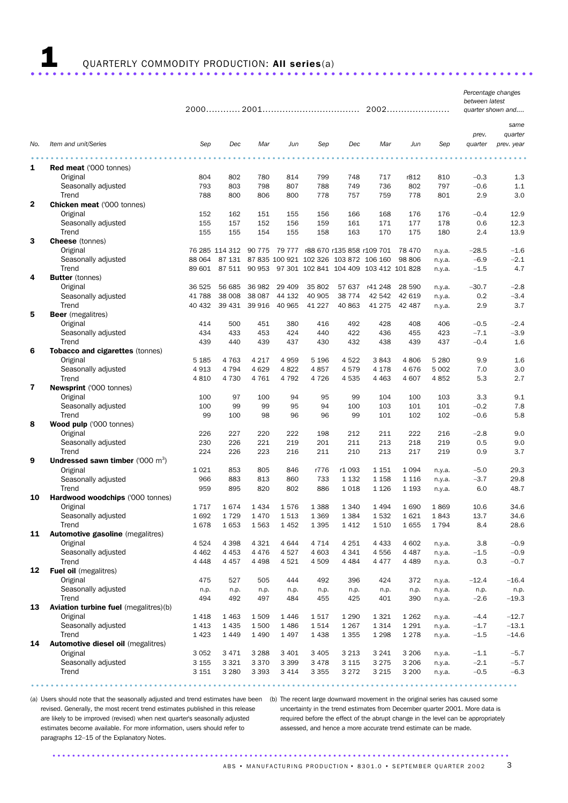## 1 QUARTERLY COMMODITY PRODUCTION: All series(a) ..................................................................... .

*Percentage changes between latest* 

|              |                                              |             |                |         |             |             |             |                                         | 2002        |                  |         | quarter shown and |
|--------------|----------------------------------------------|-------------|----------------|---------|-------------|-------------|-------------|-----------------------------------------|-------------|------------------|---------|-------------------|
|              |                                              |             |                |         |             |             |             |                                         |             |                  |         |                   |
|              |                                              |             |                |         |             |             |             |                                         |             |                  |         | same              |
|              |                                              |             |                |         |             |             |             |                                         |             |                  | prev.   | quarter           |
| No.          | Item and unit/Series                         | Sep         | Dec            | Mar     | Jun         | Sep         | Dec         | Mar                                     | Jun         | Sep              | quarter | prev. year        |
|              |                                              |             |                |         |             |             |             |                                         |             |                  |         |                   |
| 1            | <b>Red meat</b> ('000 tonnes)                |             |                |         |             |             |             |                                         |             |                  |         |                   |
|              | Original                                     | 804         | 802            | 780     | 814         | 799         | 748         | 717                                     | r812        | 810              | $-0.3$  | 1.3               |
|              | Seasonally adjusted                          | 793         | 803            | 798     | 807         | 788         | 749         | 736                                     | 802         | 797              | $-0.6$  | 1.1               |
|              | Trend                                        | 788         | 800            | 806     | 800         | 778         | 757         | 759                                     | 778         | 801              | 2.9     | 3.0               |
| $\mathbf{2}$ | <b>Chicken meat ('000 tonnes)</b>            |             |                |         |             |             |             |                                         |             |                  |         |                   |
|              | Original                                     | 152         | 162            | 151     | 155         | 156         | 166         | 168                                     | 176         | 176              | $-0.4$  | 12.9              |
|              | Seasonally adjusted                          | 155         | 157            | 152     | 156         | 159         | 161         | 171                                     | 177         | 178              | 0.6     | 12.3              |
|              | Trend                                        | 155         | 155            | 154     | 155         | 158         | 163         | 170                                     | 175         | 180              | 2.4     | 13.9              |
| З            | <b>Cheese</b> (tonnes)                       |             |                |         |             |             |             |                                         |             |                  |         |                   |
|              | Original                                     |             | 76 285 114 312 |         |             |             |             | 90 775 79 777 r88 670 r135 858 r109 701 | 78 470      | n.y.a.           | $-28.5$ | $-1.6$            |
|              | Seasonally adjusted                          | 88 064      | 87 131         |         |             |             |             | 87 835 100 921 102 326 103 872 106 160  | 98 806      | n.y.a.           | $-6.9$  | $-2.1$            |
|              | Trend                                        | 89 601      | 87 511         | 90 953  |             |             |             | 97 301 102 841 104 409 103 412 101 828  |             | n.y.a.           | $-1.5$  | 4.7               |
| 4            | <b>Butter</b> (tonnes)                       |             |                |         |             |             |             |                                         |             |                  |         |                   |
|              | Original                                     | 36 525      | 56 685         | 36 982  | 29 40 9     | 35 802      | 57 637      | r41 248                                 | 28 590      | n.y.a.           | $-30.7$ | $-2.8$            |
|              | Seasonally adjusted                          | 41 788      | 38 008         | 38 087  | 44 132      | 40 905      | 38 7 74     | 42 542                                  | 42 619      | n.y.a.           | 0.2     | $-3.4$            |
|              | Trend                                        | 40 432      | 39 431         | 39 916  | 40 965      | 41 227      | 40 863      | 41 275                                  | 42 487      | n.y.a.           | 2.9     | 3.7               |
| 5            | <b>Beer</b> (megalitres)                     |             |                |         |             |             |             |                                         |             |                  |         |                   |
|              | Original                                     | 414         | 500            | 451     | 380         | 416         | 492         | 428                                     | 408         | 406              | $-0.5$  | $-2.4$            |
|              | Seasonally adjusted                          | 434         | 433            | 453     | 424         | 440         | 422         | 436                                     | 455         | 423              | $-7.1$  | $-3.9$            |
|              | Trend                                        | 439         | 440            | 439     | 437         | 430         | 432         | 438                                     | 439         | 437              | $-0.4$  | 1.6               |
| 6            | Tobacco and cigarettes (tonnes)              |             |                |         |             |             |             |                                         |             |                  |         |                   |
|              | Original                                     | 5 1 8 5     | 4 7 6 3        | 4 2 1 7 | 4 9 5 9     | 5 1 9 6     | 4522        | 3843                                    | 4806        | 5 2 8 0          | 9.9     | 1.6               |
|              | Seasonally adjusted                          | 4913        | 4 7 9 4        | 4 6 2 9 | 4822        | 4857        | 4579        | 4 1 7 8                                 | 4676        | 5 0 0 2          | 7.0     | 3.0               |
|              | Trend                                        | 4810        | 4 7 3 0        | 4761    | 4 7 9 2     | 4726        | 4535        | 4 4 6 3                                 | 4 607       | 4852             | 5.3     | 2.7               |
| 7            | Newsprint ('000 tonnes)                      |             |                |         |             |             |             |                                         |             |                  |         |                   |
|              | Original                                     | 100         | 97             | 100     | 94          | 95          | 99          | 104                                     | 100         | 103              | 3.3     | 9.1               |
|              | Seasonally adjusted                          | 100         | 99             | 99      | 95          | 94          | 100         | 103                                     | 101         | 101              | $-0.2$  | 7.8               |
|              | Trend                                        | 99          | 100            | 98      | 96          | 96          | 99          | 101                                     | 102         | 102              | $-0.6$  | 5.8               |
| 8            | Wood pulp ('000 tonnes)                      |             |                |         |             |             |             |                                         |             |                  |         |                   |
|              | Original                                     | 226         | 227            | 220     | 222         | 198         | 212         | 211                                     | 222         | 216              | $-2.8$  | 9.0               |
|              | Seasonally adjusted                          | 230         | 226            | 221     | 219         | 201         | 211         | 213                                     | 218         | 219              | 0.5     | 9.0               |
|              | Trend                                        | 224         | 226            | 223     | 216         | 211         | 210         | 213                                     | 217         | 219              | 0.9     | 3.7               |
| 9            | Undressed sawn timber ('000 m <sup>3</sup> ) |             |                |         |             |             |             |                                         |             |                  |         |                   |
|              | Original                                     | 1021        | 853            | 805     | 846         | r776        | r1 093      | 1 1 5 1                                 | 1 0 9 4     | n.y.a.           | $-5.0$  | 29.3              |
|              | Seasonally adjusted                          | 966         | 883            | 813     | 860         | 733         | 1 1 3 2     | 1 1 5 8                                 | 1 1 1 6     | n.y.a.           | $-3.7$  | 29.8              |
|              | Trend                                        | 959         | 895            | 820     | 802         | 886         | 1018        | 1 1 2 6                                 | 1 1 9 3     | n.y.a.           | 6.0     | 48.7              |
| 10           | Hardwood woodchips ('000 tonnes)             |             |                |         |             |             |             |                                         |             |                  |         |                   |
|              | Original                                     | 1717        | 1674           | 1 4 3 4 | 1576        | 1 3 8 8     | 1 3 4 0     | 1 4 9 4                                 | 1690        | 1869             | 10.6    | 34.6              |
|              | Seasonally adjusted                          | 1692        | 1729           | 1470    | 1513        | 1 3 6 9     | 1 3 8 4     | 1532                                    | 1621        | 1843             | 13.7    | 34.6              |
|              | Trend                                        | 1678        | 1653           | 1563    | 1 4 5 2     | 1 3 9 5     | 1412        | 1510                                    | 1655        | 1794             | 8.4     | 28.6              |
| 11           | Automotive gasoline (megalitres)             |             |                |         |             |             |             |                                         |             |                  |         |                   |
|              | Original                                     | 4524        | 4 3 9 8        | 4 3 2 1 | 4 6 4 4     | 4 7 1 4     | 4 2 5 1     | 4 4 3 3                                 | 4 602       |                  | 3.8     | $-0.9$            |
|              | Seasonally adjusted                          | 4 4 6 2     | 4 4 5 3        | 4 4 7 6 | 4527        | 4 603       | 4 3 4 1     | 4556                                    | 4 4 8 7     | n.y.a.<br>n.y.a. | $-1.5$  | $-0.9$            |
|              | Trend                                        | 4 4 4 8     | 4 4 5 7        | 4 4 9 8 | 4521        | 4509        | 4 4 8 4     | 4 4 7 7                                 | 4 4 8 9     |                  | 0.3     | $-0.7$            |
| 12           | <b>Fuel oil</b> (megalitres)                 |             |                |         |             |             |             |                                         |             | n.y.a.           |         |                   |
|              | Original                                     | 475         | 527            | 505     | 444         | 492         | 396         | 424                                     | 372         |                  | $-12.4$ | $-16.4$           |
|              | Seasonally adjusted                          |             |                | n.p.    |             |             |             |                                         |             | n.y.a.           |         |                   |
|              | Trend                                        | n.p.<br>494 | n.p.<br>492    | 497     | n.p.<br>484 | n.p.<br>455 | n.p.<br>425 | n.p.<br>401                             | n.p.<br>390 | n.y.a.           | n.p.    | n.p.<br>$-19.3$   |
| 13           | <b>Aviation turbine fuel</b> (megalitres)(b) |             |                |         |             |             |             |                                         |             | n.y.a.           | $-2.6$  |                   |
|              | Original                                     |             |                |         |             |             |             |                                         |             |                  | $-4.4$  |                   |
|              |                                              | 1418        | 1 4 6 3        | 1509    | 1 4 4 6     | 1517        | 1 2 9 0     | 1 3 2 1                                 | 1 2 6 2     | n.y.a.           |         | $-12.7$           |
|              | Seasonally adjusted                          | 1413        | 1 4 3 5        | 1500    | 1 4 8 6     | 1514        | 1 2 6 7     | 1 3 1 4                                 | 1 2 9 1     | n.y.a.           | $-1.7$  | $-13.1$           |
|              | Trend                                        | 1423        | 1 4 4 9        | 1 4 9 0 | 1 4 9 7     | 1438        | 1 3 5 5     | 1 2 9 8                                 | 1 2 7 8     | n.y.a.           | $-1.5$  | $-14.6$           |
| 14           | <b>Automotive diesel oil (megalitres)</b>    |             |                |         |             |             |             |                                         |             |                  |         |                   |
|              | Original                                     | 3 0 5 2     | 3 4 7 1        | 3 2 8 8 | 3 4 0 1     | 3 4 0 5     | 3 2 1 3     | 3 2 4 1                                 | 3 2 0 6     | n.y.a.           | $-1.1$  | $-5.7$            |
|              | Seasonally adjusted                          | 3 1 5 5     | 3 3 2 1        | 3 3 7 0 | 3 3 9 9     | 3 4 7 8     | 3 1 1 5     | 3 2 7 5                                 | 3 2 0 6     | n.y.a.           | $-2.1$  | $-5.7$            |
|              | Trend                                        | 3 1 5 1     | 3 2 8 0        | 3 3 9 3 | 3 4 1 4     | 3 3 5 5     | 3 2 7 2     | 3 2 1 5                                 | 3 2 0 0     | n.y.a.           | $-0.5$  | $-6.3$            |
|              |                                              |             |                |         |             |             |             |                                         |             |                  |         |                   |

(a) Users should note that the seasonally adjusted and trend estimates have been (b) The recent large downward movement in the original series has caused some revised. Generally, the most recent trend estimates published in this release are likely to be improved (revised) when next quarter's seasonally adjusted estimates become available. For more information, users should refer to paragraphs 12–15 of the Explanatory Notes.

uncertainty in the trend estimates from December quarter 2001. More data is required before the effect of the abrupt change in the level can be appropriately assessed, and hence a more accurate trend estimate can be made.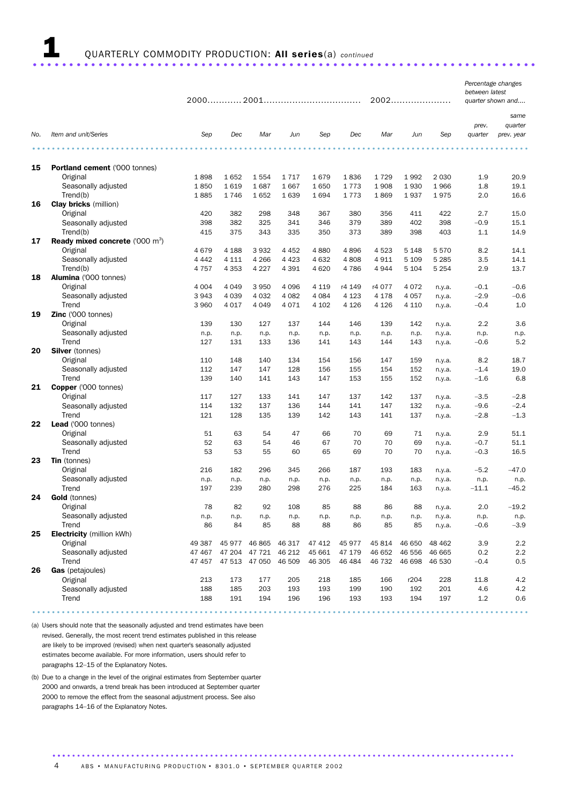## 1 QUARTERLY COMMODITY PRODUCTION: All series(a) *continued* .....................................................................

|     |                                                    |             |                             |               |             |             |             |             | 2002        |                  | between latest  | Percentage changes<br>quarter shown and |
|-----|----------------------------------------------------|-------------|-----------------------------|---------------|-------------|-------------|-------------|-------------|-------------|------------------|-----------------|-----------------------------------------|
|     |                                                    |             |                             |               |             |             |             |             |             |                  |                 |                                         |
|     |                                                    |             |                             |               |             |             |             |             |             |                  |                 | same                                    |
|     |                                                    |             |                             |               |             |             |             |             |             |                  | prev.           | quarter                                 |
| No. | Item and unit/Series                               | Sep         | Dec                         | Mar           | Jun         | Sep         | Dec         | Mar         | Jun         | Sep              | quarter         | prev. year                              |
|     | .                                                  |             |                             |               |             |             |             |             |             |                  |                 |                                         |
|     |                                                    |             |                             |               |             |             |             |             |             |                  |                 |                                         |
| 15  | Portland cement ('000 tonnes)                      |             |                             |               |             |             |             |             |             |                  |                 |                                         |
|     | Original                                           | 1898        | 1652                        | 1554          | 1717        | 1679        | 1836        | 1729        | 1992        | 2 0 3 0          | 1.9             | 20.9                                    |
|     | Seasonally adjusted                                | 1850        | 1619                        | 1687          | 1667        | 1650        | 1773        | 1908        | 1930        | 1966             | 1.8             | 19.1                                    |
|     | Trend(b)<br><b>Clay bricks</b> (million)           | 1885        | 1746                        | 1652          | 1639        | 1694        | 1773        | 1869        | 1937        | 1975             | 2.0             | 16.6                                    |
| 16  |                                                    |             |                             |               |             |             |             |             |             |                  |                 |                                         |
|     | Original<br>Seasonally adjusted                    | 420         | 382                         | 298<br>325    | 348<br>341  | 367<br>346  | 380         | 356         | 411<br>402  | 422              | 2.7             | 15.0<br>15.1                            |
|     | Trend(b)                                           | 398<br>415  | 382<br>375                  | 343           | 335         | 350         | 379<br>373  | 389<br>389  | 398         | 398<br>403       | $-0.9$<br>1.1   | 14.9                                    |
| 17  | <b>Ready mixed concrete</b> ('000 m <sup>3</sup> ) |             |                             |               |             |             |             |             |             |                  |                 |                                         |
|     | Original                                           | 4679        | 4 1 8 8                     | 3932          | 4 4 5 2     | 4880        | 4896        | 4 5 2 3     | 5 1 4 8     | 5 5 7 0          | 8.2             | 14.1                                    |
|     | Seasonally adjusted                                | 4 4 4 2     | 4 1 1 1                     | 4 2 6 6       | 4 4 2 3     | 4 6 3 2     | 4808        | 4911        | 5 1 0 9     | 5 2 8 5          | 3.5             | 14.1                                    |
|     | Trend(b)                                           | 4 7 5 7     | 4 3 5 3                     | 4 2 2 7       | 4 3 9 1     | 4 6 20      | 4786        | 4944        | 5 1 0 4     | 5 2 5 4          | 2.9             | 13.7                                    |
| 18  | Alumina ('000 tonnes)                              |             |                             |               |             |             |             |             |             |                  |                 |                                         |
|     | Original                                           | 4 0 0 4     | 4 0 4 9                     | 3 9 5 0       | 4096        | 4 1 1 9     | r4 149      | r4 077      | 4 0 7 2     | n.y.a.           | $-0.1$          | $-0.6$                                  |
|     | Seasonally adjusted                                | 3943        | 4 0 3 9                     | 4 0 3 2       | 4 0 8 2     | 4 0 8 4     | 4 1 2 3     | 4 1 7 8     | 4 0 5 7     | n.y.a.           | $-2.9$          | $-0.6$                                  |
|     | Trend                                              | 3 9 6 0     | 4 0 1 7                     | 4 0 4 9       | 4071        | 4 102       | 4 1 2 6     | 4 1 2 6     | 4 1 1 0     | n.y.a.           | $-0.4$          | 1.0                                     |
| 19  | Zinc ('000 tonnes)                                 |             |                             |               |             |             |             |             |             |                  |                 |                                         |
|     | Original                                           | 139         | 130                         | 127           | 137         | 144         | 146         | 139         | 142         | n.y.a.           | 2.2             | 3.6                                     |
|     | Seasonally adjusted                                | n.p.        | n.p.                        | n.p.          | n.p.        | n.p.        | n.p.        | n.p.        | n.p.        | n.y.a.           | n.p.            | n.p.                                    |
|     | Trend                                              | 127         | 131                         | 133           | 136         | 141         | 143         | 144         | 143         | n.y.a.           | $-0.6$          | 5.2                                     |
| 20  | <b>Silver</b> (tonnes)                             |             |                             |               |             |             |             |             |             |                  |                 |                                         |
|     | Original                                           | 110         | 148                         | 140           | 134         | 154         | 156         | 147         | 159         | n.y.a.           | 8.2             | 18.7                                    |
|     | Seasonally adjusted                                | 112         | 147                         | 147           | 128         | 156         | 155         | 154         | 152         | n.y.a.           | $-1.4$          | 19.0                                    |
|     | Trend                                              | 139         | 140                         | 141           | 143         | 147         | 153         | 155         | 152         | n.y.a.           | $-1.6$          | 6.8                                     |
| 21  | Copper ('000 tonnes)                               |             |                             |               |             |             |             |             |             |                  |                 |                                         |
|     | Original                                           | 117         | 127                         | 133           | 141         | 147         | 137         | 142         | 137         | n.y.a.           | $-3.5$          | $-2.8$                                  |
|     | Seasonally adjusted                                | 114         | 132                         | 137           | 136         | 144         | 141         | 147         | 132         | n.y.a.           | $-9.6$          | $-2.4$                                  |
|     | Trend                                              | 121         | 128                         | 135           | 139         | 142         | 143         | 141         | 137         | n.y.a.           | $-2.8$          | $-1.3$                                  |
| 22  | Lead ('000 tonnes)                                 |             |                             |               |             |             |             |             |             |                  |                 |                                         |
|     | Original                                           | 51          | 63                          | 54            | 47          | 66          | 70          | 69          | 71          | n.y.a.           | 2.9             | 51.1                                    |
|     | Seasonally adjusted                                | 52          | 63                          | 54            | 46          | 67          | 70          | 70          | 69          | n.y.a.           | $-0.7$          | 51.1                                    |
|     | Trend                                              | 53          | 53                          | 55            | 60          | 65          | 69          | 70          | 70          | n.y.a.           | $-0.3$          | 16.5                                    |
| 23  | Tin (tonnes)                                       |             |                             |               |             |             |             |             |             |                  |                 |                                         |
|     | Original<br>Seasonally adjusted                    | 216         | 182                         | 296           | 345         | 266         | 187         | 193         | 183         | n.y.a.           | $-5.2$          | $-47.0$                                 |
|     | Trend                                              | n.p.<br>197 | n.p.<br>239                 | n.p.<br>280   | n.p.<br>298 | n.p.<br>276 | n.p.<br>225 | n.p.<br>184 | n.p.<br>163 | n.y.a.<br>n.y.a. | n.p.<br>$-11.1$ | n.p.<br>$-45.2$                         |
| 24  | <b>Gold</b> (tonnes)                               |             |                             |               |             |             |             |             |             |                  |                 |                                         |
|     | Original                                           | 78          | 82                          | 92            | 108         | 85          | 88          | 86          | 88          | n.y.a.           | 2.0             | $-19.2$                                 |
|     | Seasonally adjusted                                | n.p.        | n.p.                        | n.p.          | n.p.        | n.p.        | n.p.        | n.p.        | n.p.        | n.y.a.           | n.p.            | n.p.                                    |
|     | Trend                                              | 86          | 84                          | 85            | 88          | 88          | 86          | 85          | 85          | n.y.a.           | $-0.6$          | $-3.9$                                  |
| 25  | <b>Electricity</b> (million kWh)                   |             |                             |               |             |             |             |             |             |                  |                 |                                         |
|     | Original                                           | 49 387      |                             | 45 977 46 865 | 46 317      | 47 412      | 45 977      | 45 814      | 46 650      | 48 4 62          | 3.9             | 2.2                                     |
|     | Seasonally adjusted                                | 47 467      | 47 204                      | 47 721        | 46 212      | 45 661      | 47 179      | 46 652      | 46 556      | 46 665           | 0.2             | 2.2                                     |
|     | Trend                                              |             | 47 457 47 513 47 050 46 509 |               |             | 46 30 5     | 46 484      | 46 732      | 46 698      | 46 530           | $-0.4$          | 0.5                                     |
| 26  | Gas (petajoules)                                   |             |                             |               |             |             |             |             |             |                  |                 |                                         |
|     | Original                                           | 213         | 173                         | 177           | 205         | 218         | 185         | 166         | r204        | 228              | 11.8            | 4.2                                     |
|     | Seasonally adjusted                                | 188         | 185                         | 203           | 193         | 193         | 199         | 190         | 192         | 201              | 4.6             | 4.2                                     |
|     | Trend                                              | 188         | 191                         | 194           | 196         | 196         | 193         | 193         | 194         | 197              | $1.2\,$         | 0.6                                     |
|     |                                                    |             |                             |               |             |             |             |             |             |                  |                 |                                         |

.....................................................................................................

(a) Users should note that the seasonally adjusted and trend estimates have been revised. Generally, the most recent trend estimates published in this release are likely to be improved (revised) when next quarter's seasonally adjusted estimates become available. For more information, users should refer to paragraphs 12–15 of the Explanatory Notes.

(b) Due to a change in the level of the original estimates from September quarter 2000 and onwards, a trend break has been introduced at September quarter 2000 to remove the effect from the seasonal adjustment process. See also paragraphs 14–16 of the Explanatory Notes.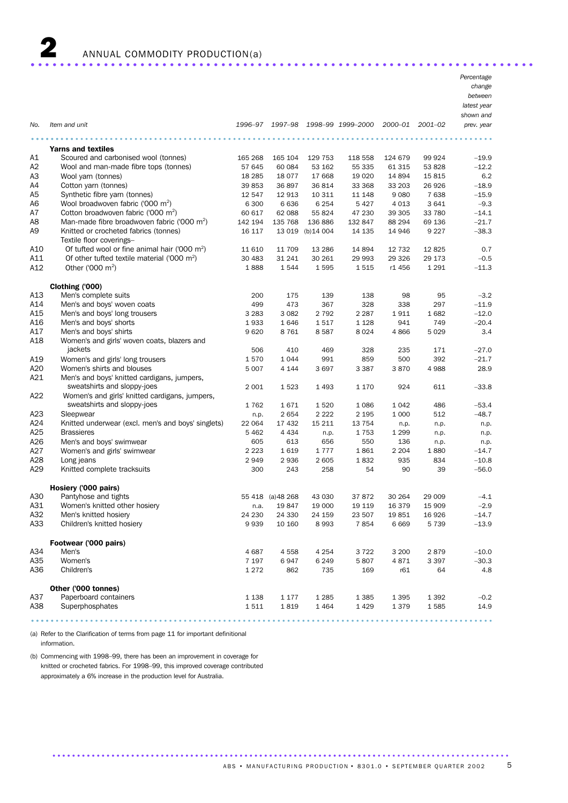

2 ANNUAL COMMODITY PRODUCTION(a) ..................................................................... .

|     |                                                                   |          |                   |                   |                           |         |             | Percentage  |
|-----|-------------------------------------------------------------------|----------|-------------------|-------------------|---------------------------|---------|-------------|-------------|
|     |                                                                   |          |                   |                   |                           |         |             | change      |
|     |                                                                   |          |                   |                   |                           |         |             | between     |
|     |                                                                   |          |                   |                   |                           |         |             | latest year |
|     |                                                                   |          |                   |                   |                           |         |             | shown and   |
| No. | Item and unit                                                     | 1996–97  |                   |                   | 1997-98 1998-99 1999-2000 | 2000–01 | $2001 - 02$ | prev. year  |
|     |                                                                   |          |                   |                   |                           |         |             |             |
|     | <b>Yarns and textiles</b>                                         |          |                   |                   |                           |         |             |             |
| Α1  | Scoured and carbonised wool (tonnes)                              | 165 268  | 165 104           | 129 753           | 118 558                   | 124 679 | 99 924      | $-19.9$     |
| A2  | Wool and man-made fibre tops (tonnes)                             | 57 645   | 60 084            | 53 162            | 55 335                    | 61 315  | 53 828      | $-12.2$     |
| A3  | Wool yarn (tonnes)                                                | 18 2 8 5 | 18 077            | 17 668            | 19 0 20                   | 14 894  | 15815       | 6.2         |
| A4  | Cotton yarn (tonnes)                                              | 39 853   | 36 897            | 36 814            | 33 368                    | 33 203  | 26926       | $-18.9$     |
| A5  | Synthetic fibre yarn (tonnes)                                     | 12 547   | 12 913            | 10 311            | 11 148                    | 9 0 8 0 | 7638        | $-15.9$     |
| A6  | Wool broadwoven fabric ('000 m <sup>2</sup> )                     | 6 300    | 6636              | 6 2 5 4           | 5 4 2 7                   | 4 0 1 3 | 3641        | $-9.3$      |
| A7  | Cotton broadwoven fabric ('000 m <sup>2</sup> )                   | 60 617   | 62 088            | 55 824            | 47 230                    | 39 30 5 | 33 780      | $-14.1$     |
| A8  | Man-made fibre broadwoven fabric ('000 m <sup>2</sup> )           | 142 194  | 135 768           | 136 886           | 132 847                   | 88 294  | 69 136      | $-21.7$     |
| A9  | Knitted or crocheted fabrics (tonnes)<br>Textile floor coverings- | 16 117   |                   | 13 019 (b) 14 004 | 14 135                    | 14 946  | 9 2 2 7     | $-38.3$     |
| A10 | Of tufted wool or fine animal hair ('000 m <sup>2</sup> )         | 11 610   | 11 709            | 13 2 86           | 14 8 94                   | 12 732  | 12825       | 0.7         |
| A11 | Of other tufted textile material ('000 m <sup>2</sup> )           | 30 483   | 31 241            | 30 261            | 29 993                    | 29 3 26 | 29 173      | $-0.5$      |
| A12 | Other ('000 m <sup>2</sup> )                                      | 1888     | 1544              | 1595              | 1515                      | r1 456  | 1 2 9 1     | $-11.3$     |
|     |                                                                   |          |                   |                   |                           |         |             |             |
|     | Clothing ('000)                                                   |          |                   |                   |                           |         |             |             |
| A13 | Men's complete suits                                              | 200      | 175               | 139               | 138                       | 98      | 95          | $-3.2$      |
| A14 | Men's and boys' woven coats                                       | 499      | 473               | 367               | 328                       | 338     | 297         | $-11.9$     |
| A15 | Men's and boys' long trousers                                     | 3 2 8 3  | 3 0 8 2           | 2 7 9 2           | 2 2 8 7                   | 1911    | 1682        | $-12.0$     |
| A16 | Men's and boys' shorts                                            | 1933     | 1646              | 1517              | 1 1 2 8                   | 941     | 749         | $-20.4$     |
| A17 | Men's and boys' shirts                                            | 9620     | 8 7 6 1           | 8587              | 8024                      | 4866    | 5 0 2 9     | 3.4         |
| A18 | Women's and girls' woven coats, blazers and                       |          |                   |                   |                           |         |             |             |
|     | jackets                                                           | 506      | 410               | 469               | 328                       | 235     | 171         | $-27.0$     |
| A19 | Women's and girls' long trousers                                  | 1570     | 1 0 4 4           | 991               | 859                       | 500     | 392         | $-21.7$     |
| A20 | Women's shirts and blouses                                        | 5 0 0 7  | 4 1 4 4           | 3697              | 3 3 8 7                   | 3870    | 4988        | 28.9        |
| A21 | Men's and boys' knitted cardigans, jumpers,                       |          |                   |                   |                           |         |             |             |
|     | sweatshirts and sloppy-joes                                       | 2 0 0 1  | 1523              | 1 4 9 3           | 1 1 7 0                   | 924     | 611         | $-33.8$     |
| A22 | Women's and girls' knitted cardigans, jumpers,                    |          |                   |                   |                           |         |             |             |
|     | sweatshirts and sloppy-joes                                       | 1762     | 1671              | 1520              | 1 0 8 6                   | 1 0 4 2 | 486         | $-53.4$     |
| A23 | Sleepwear                                                         | n.p.     | 2654              | 2 2 2 2           | 2 1 9 5                   | 1 0 0 0 | 512         | $-48.7$     |
| A24 | Knitted underwear (excl. men's and boys' singlets)                | 22 064   | 17 432            | 15 211            | 13 7 54                   | n.p.    | n.p.        | n.p.        |
| A25 | <b>Brassieres</b>                                                 | 5 4 6 2  | 4 4 3 4           | n.p.              | 1753                      | 1 2 9 9 | n.p.        | n.p.        |
| A26 | Men's and boys' swimwear                                          | 605      | 613               | 656               | 550                       | 136     | n.p.        | n.p.        |
| A27 | Women's and girls' swimwear                                       | 2 2 2 3  | 1619              | 1777              | 1861                      | 2 2 0 4 | 1880        | $-14.7$     |
| A28 | Long jeans                                                        | 2949     | 2936              | 2 605             | 1832                      | 935     | 834         | $-10.8$     |
| A29 | Knitted complete tracksuits                                       | 300      | 243               | 258               | 54                        | 90      | 39          | $-56.0$     |
|     |                                                                   |          |                   |                   |                           |         |             |             |
|     | Hosiery ('000 pairs)                                              |          |                   |                   |                           |         |             |             |
| A30 | Pantyhose and tights                                              |          | 55 418 (a) 48 268 | 43 030            | 37 872                    | 30 264  | 29 009      | $-4.1$      |
| A31 | Women's knitted other hosiery                                     | n.a.     | 19847             | 19 000            | 19 119                    | 16 379  | 15 909      | $-2.9$      |
| A32 | Men's knitted hosiery                                             | 24 230   | 24 330            | 24 159            | 23 507                    | 19851   | 16926       | $-14.7$     |
| A33 | Children's knitted hosiery                                        | 9939     | 10 160            | 8993              | 7854                      | 6669    | 5 7 3 9     | $-13.9$     |
|     | Footwear ('000 pairs)                                             |          |                   |                   |                           |         |             |             |
| A34 | Men's                                                             | 4687     | 4558              | 4 254             | 3722                      | 3 2 0 0 | 2879        | $-10.0$     |
| A35 | Women's                                                           | 7 1 9 7  | 6947              | 6 2 4 9           | 5807                      | 4871    | 3 3 9 7     | $-30.3$     |
| A36 | Children's                                                        | 1 2 7 2  | 862               | 735               | 169                       | r61     | 64          | 4.8         |
|     |                                                                   |          |                   |                   |                           |         |             |             |
|     | Other ('000 tonnes)                                               |          |                   |                   |                           |         |             |             |
| A37 | Paperboard containers                                             | 1 1 3 8  | 1 1 7 7           | 1 2 8 5           | 1 3 8 5                   | 1 3 9 5 | 1 3 9 2     | $-0.2$      |
| A38 | Superphosphates                                                   | 1511     | 1819              | 1 4 6 4           | 1 4 2 9                   | 1379    | 1585        | 14.9        |

.............................................................................................. .....

.................................................................. .............................................................................................

(a) Refer to the Clarification of terms from page 11 for important definitional information.

(b) Commencing with 1998–99, there has been an improvement in coverage for knitted or crocheted fabrics. For 1998–99, this improved coverage contributed approximately a 6% increase in the production level for Australia.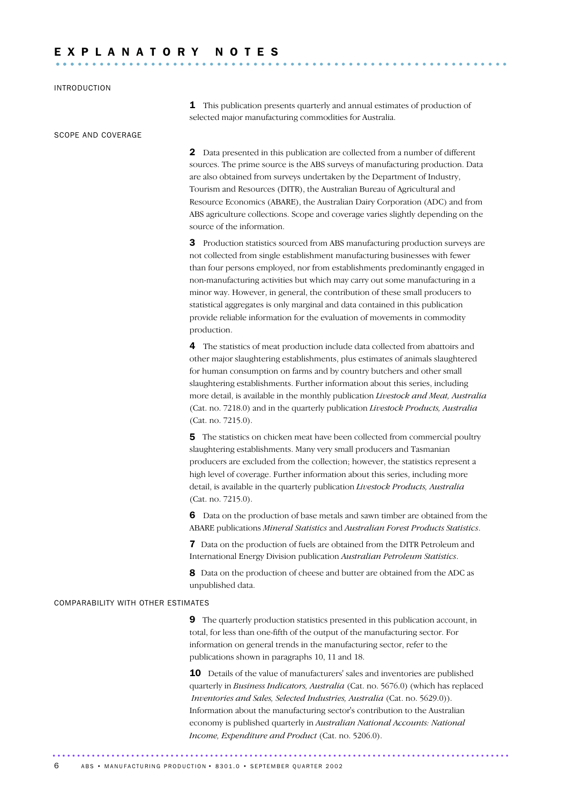#### INTRODUCTION

SCOPE AND COVERAGE

1 This publication presents quarterly and annual estimates of production of selected major manufacturing commodities for Australia.

2 Data presented in this publication are collected from a number of different sources. The prime source is the ABS surveys of manufacturing production. Data are also obtained from surveys undertaken by the Department of Industry, Tourism and Resources (DITR), the Australian Bureau of Agricultural and Resource Economics (ABARE), the Australian Dairy Corporation (ADC) and from ABS agriculture collections. Scope and coverage varies slightly depending on the source of the information.

**3** Production statistics sourced from ABS manufacturing production surveys are not collected from single establishment manufacturing businesses with fewer than four persons employed, nor from establishments predominantly engaged in non-manufacturing activities but which may carry out some manufacturing in a minor way. However, in general, the contribution of these small producers to statistical aggregates is only marginal and data contained in this publication provide reliable information for the evaluation of movements in commodity production.

4 The statistics of meat production include data collected from abattoirs and other major slaughtering establishments, plus estimates of animals slaughtered for human consumption on farms and by country butchers and other small slaughtering establishments. Further information about this series, including more detail, is available in the monthly publication *Livestock and Meat, Australia* (Cat. no. 7218.0) and in the quarterly publication *Livestock Products, Australia* (Cat. no. 7215.0).

5 The statistics on chicken meat have been collected from commercial poultry slaughtering establishments. Many very small producers and Tasmanian producers are excluded from the collection; however, the statistics represent a high level of coverage. Further information about this series, including more detail, is available in the quarterly publication *Livestock Products, Australia* (Cat. no. 7215.0).

6 Data on the production of base metals and sawn timber are obtained from the ABARE publications *Mineral Statistics* and *Australian Forest Products Statistics*.

7 Data on the production of fuels are obtained from the DITR Petroleum and International Energy Division publication *Australian Petroleum Statistics*.

8 Data on the production of cheese and butter are obtained from the ADC as unpublished data.

#### COMPARABILITY WITH OTHER ESTIMATES

9 The quarterly production statistics presented in this publication account, in total, for less than one-fifth of the output of the manufacturing sector. For information on general trends in the manufacturing sector, refer to the publications shown in paragraphs 10, 11 and 18.

10 Details of the value of manufacturers' sales and inventories are published quarterly in *Business Indicators, Australia* (Cat. no. 5676.0) (which has replaced *Inventories and Sales, Selected Industries, Australia* (Cat. no. 5629.0)). Information about the manufacturing sector's contribution to the Australian economy is published quarterly in *Australian National Accounts: National Income, Expenditure and Product* (Cat. no. 5206.0).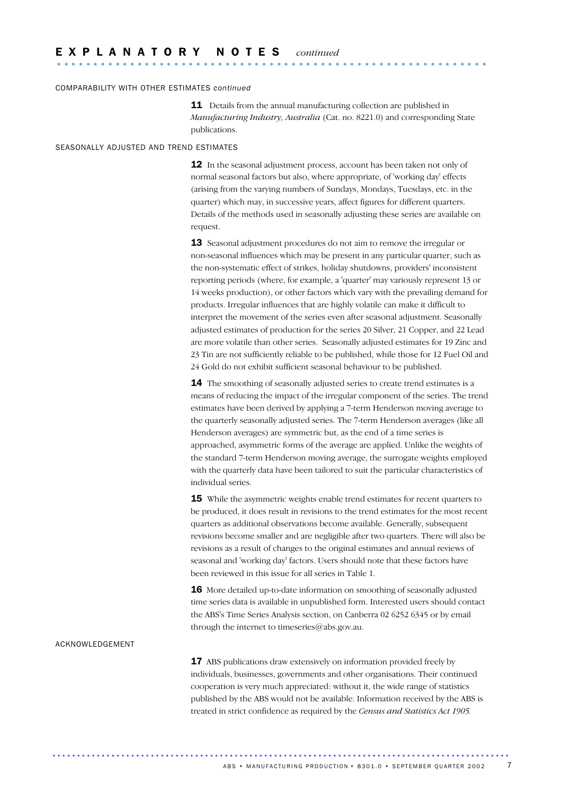#### COMPARABILITY WITH OTHER ESTIMATES *continued*

**11** Details from the annual manufacturing collection are published in *Manufacturing Industry, Australia* (Cat. no. 8221.0) and corresponding State publications.

#### SEASONALLY ADJUSTED AND TREND ESTIMATES

12 In the seasonal adjustment process, account has been taken not only of normal seasonal factors but also, where appropriate, of 'working day' effects (arising from the varying numbers of Sundays, Mondays, Tuesdays, etc. in the quarter) which may, in successive years, affect figures for different quarters. Details of the methods used in seasonally adjusting these series are available on request.

**13** Seasonal adjustment procedures do not aim to remove the irregular or non-seasonal influences which may be present in any particular quarter, such as the non-systematic effect of strikes, holiday shutdowns, providers' inconsistent reporting periods (where, for example, a 'quarter' may variously represent 13 or 14 weeks production), or other factors which vary with the prevailing demand for products. Irregular influences that are highly volatile can make it difficult to interpret the movement of the series even after seasonal adjustment. Seasonally adjusted estimates of production for the series 20 Silver, 21 Copper, and 22 Lead are more volatile than other series. Seasonally adjusted estimates for 19 Zinc and 23 Tin are not sufficiently reliable to be published, while those for 12 Fuel Oil and 24 Gold do not exhibit sufficient seasonal behaviour to be published.

**14** The smoothing of seasonally adjusted series to create trend estimates is a means of reducing the impact of the irregular component of the series. The trend estimates have been derived by applying a 7-term Henderson moving average to the quarterly seasonally adjusted series. The 7-term Henderson averages (like all Henderson averages) are symmetric but, as the end of a time series is approached, asymmetric forms of the average are applied. Unlike the weights of the standard 7-term Henderson moving average, the surrogate weights employed with the quarterly data have been tailored to suit the particular characteristics of individual series.

**15** While the asymmetric weights enable trend estimates for recent quarters to be produced, it does result in revisions to the trend estimates for the most recent quarters as additional observations become available. Generally, subsequent revisions become smaller and are negligible after two quarters. There will also be revisions as a result of changes to the original estimates and annual reviews of seasonal and 'working day' factors. Users should note that these factors have been reviewed in this issue for all series in Table 1.

16 More detailed up-to-date information on smoothing of seasonally adjusted time series data is available in unpublished form. Interested users should contact the ABS's Time Series Analysis section, on Canberra 02 6252 6345 or by email through the internet to timeseries@abs.gov.au.

#### ACKNOWLEDGEMENT

17 ABS publications draw extensively on information provided freely by individuals, businesses, governments and other organisations. Their continued cooperation is very much appreciated: without it, the wide range of statistics published by the ABS would not be available. Information received by the ABS is treated in strict confidence as required by the *Census and Statistics Act 1905.*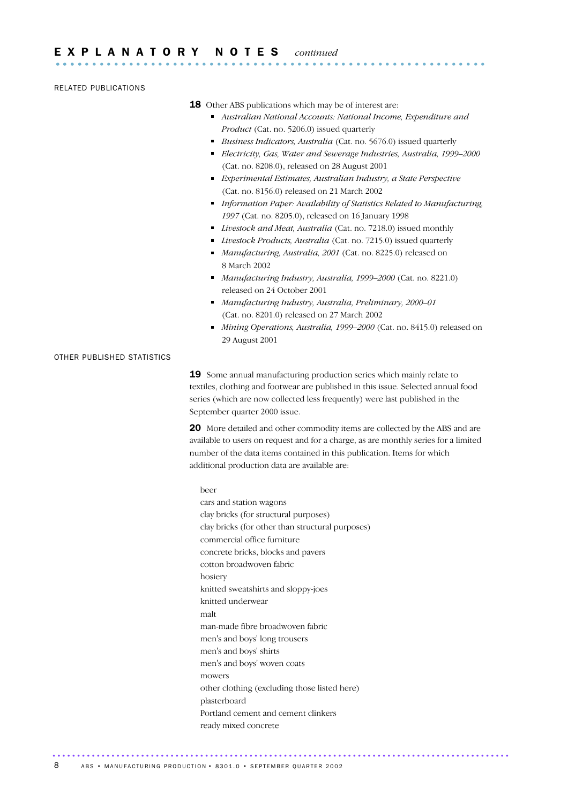RELATED PUBLICATIONS

- **18** Other ABS publications which may be of interest are:
	- *Australian National Accounts: National Income, Expenditure and Product* (Cat. no. 5206.0) issued quarterly
	- *Business Indicators, Australia* (Cat. no. 5676.0) issued quarterly
	- *Electricity, Gas, Water and Sewerage Industries, Australia, 1999–2000* (Cat. no. 8208.0), released on 28 August 2001
	- *Experimental Estimates, Australian Industry, a State Perspective* (Cat. no. 8156.0) released on 21 March 2002
	- *Information Paper: Availability of Statistics Related to Manufacturing, 1997* (Cat. no. 8205.0), released on 16 January 1998
	- *Livestock and Meat, Australia* (Cat. no. 7218.0) issued monthly
	- *Livestock Products, Australia* (Cat. no. 7215.0) issued quarterly
	- *Manufacturing, Australia, 2001* (Cat. no. 8225.0) released on 8 March 2002
	- *Manufacturing Industry, Australia, 1999–2000* (Cat. no. 8221.0) released on 24 October 2001
	- *Manufacturing Industry, Australia, Preliminary, 2000–01* (Cat. no. 8201.0) released on 27 March 2002
	- *Mining Operations, Australia, 1999–2000* (Cat. no. 8415.0) released on 29 August 2001

#### OTHER PUBLISHED STATISTICS

19 Some annual manufacturing production series which mainly relate to textiles, clothing and footwear are published in this issue. Selected annual food series (which are now collected less frequently) were last published in the September quarter 2000 issue.

20 More detailed and other commodity items are collected by the ABS and are available to users on request and for a charge, as are monthly series for a limited number of the data items contained in this publication. Items for which additional production data are available are:

#### beer

cars and station wagons clay bricks (for structural purposes) clay bricks (for other than structural purposes) commercial office furniture concrete bricks, blocks and pavers cotton broadwoven fabric hosiery knitted sweatshirts and sloppy-joes knitted underwear malt man-made fibre broadwoven fabric men's and boys' long trousers men's and boys' shirts men's and boys' woven coats mowers other clothing (excluding those listed here) plasterboard Portland cement and cement clinkers ready mixed concrete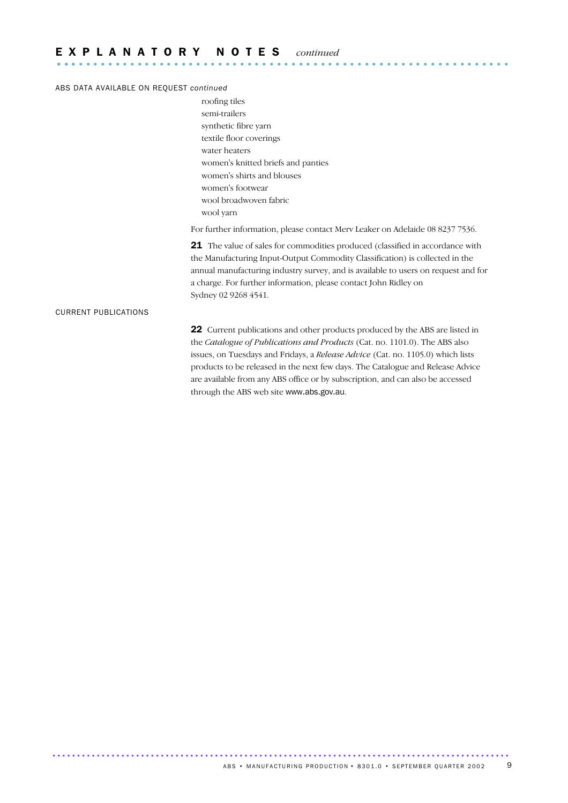#### ABS DATA AVAILABLE ON REQUEST *continued*

roofing tiles semi-trailers synthetic fibre yarn textile floor coverings water heaters women's knitted briefs and panties women's shirts and blouses women's footwear wool broadwoven fabric wool yarn

For further information, please contact Merv Leaker on Adelaide 08 8237 7536.

21 The value of sales for commodities produced (classified in accordance with the Manufacturing Input-Output Commodity Classification) is collected in the annual manufacturing industry survey, and is available to users on request and for a charge. For further information, please contact John Ridley on Sydney 02 9268 4541.

#### CURRENT PUBLICATIONS

22 Current publications and other products produced by the ABS are listed in the *Catalogue of Publications and Products* (Cat. no. 1101.0). The ABS also issues, on Tuesdays and Fridays, a *Release Advice* (Cat. no. 1105.0) which lists products to be released in the next few days. The Catalogue and Release Advice are available from any ABS office or by subscription, and can also be accessed through the ABS web site www.abs.gov.au.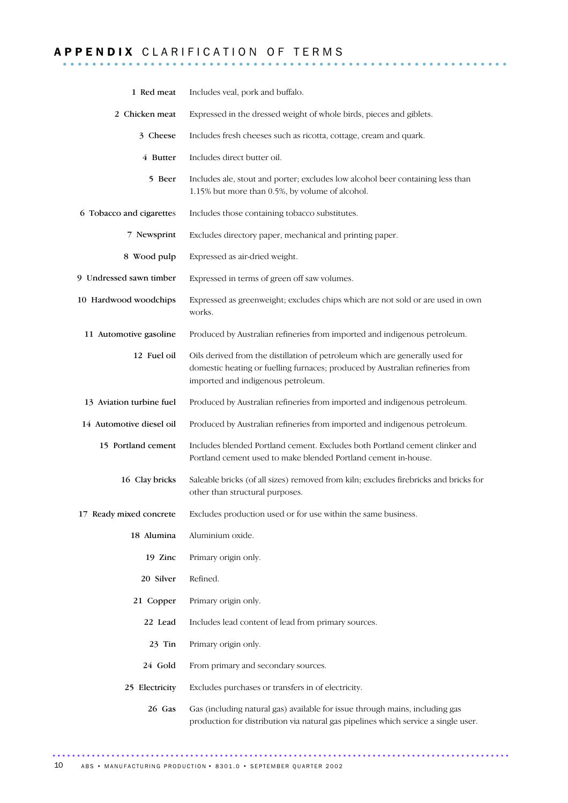## A P P E N D I X C L A R I F I C A T I O N O F T E R M S ........................

| 1 Red meat               | Includes veal, pork and buffalo.                                                                                                                                                                    |
|--------------------------|-----------------------------------------------------------------------------------------------------------------------------------------------------------------------------------------------------|
| 2 Chicken meat           | Expressed in the dressed weight of whole birds, pieces and giblets.                                                                                                                                 |
| 3 Cheese                 | Includes fresh cheeses such as ricotta, cottage, cream and quark.                                                                                                                                   |
| 4 Butter                 | Includes direct butter oil.                                                                                                                                                                         |
| 5 Beer                   | Includes ale, stout and porter; excludes low alcohol beer containing less than<br>1.15% but more than 0.5%, by volume of alcohol.                                                                   |
| 6 Tobacco and cigarettes | Includes those containing tobacco substitutes.                                                                                                                                                      |
| 7 Newsprint              | Excludes directory paper, mechanical and printing paper.                                                                                                                                            |
| 8 Wood pulp              | Expressed as air-dried weight.                                                                                                                                                                      |
| 9 Undressed sawn timber  | Expressed in terms of green off saw volumes.                                                                                                                                                        |
| 10 Hardwood woodchips    | Expressed as greenweight; excludes chips which are not sold or are used in own<br>works.                                                                                                            |
| 11 Automotive gasoline   | Produced by Australian refineries from imported and indigenous petroleum.                                                                                                                           |
| 12 Fuel oil              | Oils derived from the distillation of petroleum which are generally used for<br>domestic heating or fuelling furnaces; produced by Australian refineries from<br>imported and indigenous petroleum. |
| 13 Aviation turbine fuel | Produced by Australian refineries from imported and indigenous petroleum.                                                                                                                           |
| 14 Automotive diesel oil | Produced by Australian refineries from imported and indigenous petroleum.                                                                                                                           |
| 15 Portland cement       | Includes blended Portland cement. Excludes both Portland cement clinker and<br>Portland cement used to make blended Portland cement in-house.                                                       |
| 16 Clay bricks           | Saleable bricks (of all sizes) removed from kiln; excludes firebricks and bricks for<br>other than structural purposes.                                                                             |
| 17 Ready mixed concrete  | Excludes production used or for use within the same business.                                                                                                                                       |
| 18 Alumina               | Aluminium oxide.                                                                                                                                                                                    |
| 19 Zinc                  | Primary origin only.                                                                                                                                                                                |
| 20 Silver                | Refined.                                                                                                                                                                                            |
| 21 Copper                | Primary origin only.                                                                                                                                                                                |
| 22 Lead                  | Includes lead content of lead from primary sources.                                                                                                                                                 |
| 23 Tin                   | Primary origin only.                                                                                                                                                                                |
| 24 Gold                  | From primary and secondary sources.                                                                                                                                                                 |
| 25 Electricity           | Excludes purchases or transfers in of electricity.                                                                                                                                                  |
| 26 Gas                   | Gas (including natural gas) available for issue through mains, including gas<br>production for distribution via natural gas pipelines which service a single user.                                  |

.............................................................................................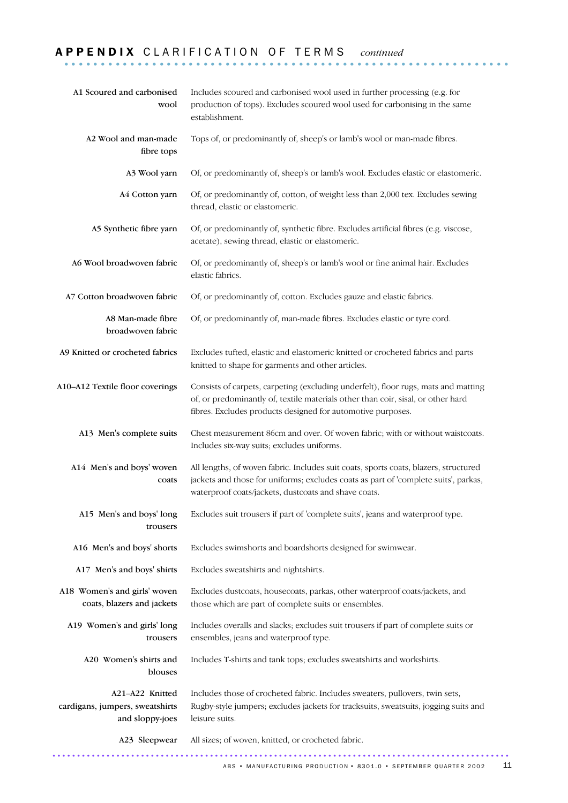# A P P E N D I X C L A R I F I C A T I O N O F T E R M S *continued* .............................................................

| A1 Scoured and carbonised<br>wool                                     | Includes scoured and carbonised wool used in further processing (e.g. for<br>production of tops). Excludes scoured wool used for carbonising in the same<br>establishment.                                                            |
|-----------------------------------------------------------------------|---------------------------------------------------------------------------------------------------------------------------------------------------------------------------------------------------------------------------------------|
| A2 Wool and man-made<br>fibre tops                                    | Tops of, or predominantly of, sheep's or lamb's wool or man-made fibres.                                                                                                                                                              |
| A3 Wool yarn                                                          | Of, or predominantly of, sheep's or lamb's wool. Excludes elastic or elastomeric.                                                                                                                                                     |
| A4 Cotton yarn                                                        | Of, or predominantly of, cotton, of weight less than 2,000 tex. Excludes sewing<br>thread, elastic or elastomeric.                                                                                                                    |
| A5 Synthetic fibre yarn                                               | Of, or predominantly of, synthetic fibre. Excludes artificial fibres (e.g. viscose,<br>acetate), sewing thread, elastic or elastomeric.                                                                                               |
| A6 Wool broadwoven fabric                                             | Of, or predominantly of, sheep's or lamb's wool or fine animal hair. Excludes<br>elastic fabrics.                                                                                                                                     |
| A7 Cotton broadwoven fabric                                           | Of, or predominantly of, cotton. Excludes gauze and elastic fabrics.                                                                                                                                                                  |
| A8 Man-made fibre<br>broadwoven fabric                                | Of, or predominantly of, man-made fibres. Excludes elastic or tyre cord.                                                                                                                                                              |
| A9 Knitted or crocheted fabrics                                       | Excludes tufted, elastic and elastomeric knitted or crocheted fabrics and parts<br>knitted to shape for garments and other articles.                                                                                                  |
| A10-A12 Textile floor coverings                                       | Consists of carpets, carpeting (excluding underfelt), floor rugs, mats and matting<br>of, or predominantly of, textile materials other than coir, sisal, or other hard<br>fibres. Excludes products designed for automotive purposes. |
| A13 Men's complete suits                                              | Chest measurement 86cm and over. Of woven fabric; with or without waistcoats.<br>Includes six-way suits; excludes uniforms.                                                                                                           |
| A14 Men's and boys' woven<br>coats                                    | All lengths, of woven fabric. Includes suit coats, sports coats, blazers, structured<br>jackets and those for uniforms; excludes coats as part of 'complete suits', parkas,<br>waterproof coats/jackets, dustcoats and shave coats.   |
| A15 Men's and boys' long<br>trousers                                  | Excludes suit trousers if part of 'complete suits', jeans and waterproof type.                                                                                                                                                        |
| A16 Men's and boys' shorts                                            | Excludes swimshorts and boardshorts designed for swimwear.                                                                                                                                                                            |
| A17 Men's and boys' shirts                                            | Excludes sweatshirts and nightshirts.                                                                                                                                                                                                 |
| A18 Women's and girls' woven<br>coats, blazers and jackets            | Excludes dustcoats, housecoats, parkas, other waterproof coats/jackets, and<br>those which are part of complete suits or ensembles.                                                                                                   |
| A19 Women's and girls' long<br>trousers                               | Includes overalls and slacks; excludes suit trousers if part of complete suits or<br>ensembles, jeans and waterproof type.                                                                                                            |
| A20 Women's shirts and<br>blouses                                     | Includes T-shirts and tank tops; excludes sweatshirts and workshirts.                                                                                                                                                                 |
| A21-A22 Knitted<br>cardigans, jumpers, sweatshirts<br>and sloppy-joes | Includes those of crocheted fabric. Includes sweaters, pullovers, twin sets,<br>Rugby-style jumpers; excludes jackets for tracksuits, sweatsuits, jogging suits and<br>leisure suits.                                                 |
| A23 Sleepwear                                                         | All sizes; of woven, knitted, or crocheted fabric.                                                                                                                                                                                    |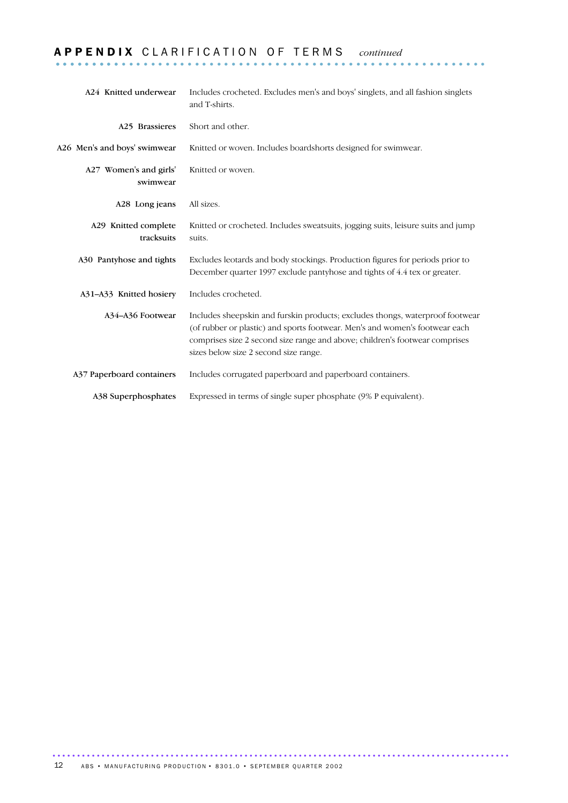# A P P E N D I X C L A R I F I C A T I O N O F T E R M S *continued* ........................................................... .........

| A24 Knitted underwear              | Includes crocheted. Excludes men's and boys' singlets, and all fashion singlets<br>and T-shirts.                                                                                                                                                                                     |
|------------------------------------|--------------------------------------------------------------------------------------------------------------------------------------------------------------------------------------------------------------------------------------------------------------------------------------|
| A <sub>25</sub> Brassieres         | Short and other.                                                                                                                                                                                                                                                                     |
| A26 Men's and boys' swimwear       | Knitted or woven. Includes boardshorts designed for swimwear.                                                                                                                                                                                                                        |
| A27 Women's and girls'<br>swimwear | Knitted or woven.                                                                                                                                                                                                                                                                    |
| A28 Long jeans                     | All sizes.                                                                                                                                                                                                                                                                           |
| A29 Knitted complete<br>tracksuits | Knitted or crocheted. Includes sweatsuits, jogging suits, leisure suits and jump<br>suits.                                                                                                                                                                                           |
| A30 Pantyhose and tights           | Excludes leotards and body stockings. Production figures for periods prior to<br>December quarter 1997 exclude pantyhose and tights of 4.4 tex or greater.                                                                                                                           |
| A31-A33 Knitted hosiery            | Includes crocheted.                                                                                                                                                                                                                                                                  |
| A34-A36 Footwear                   | Includes sheepskin and furskin products; excludes thongs, waterproof footwear<br>(of rubber or plastic) and sports footwear. Men's and women's footwear each<br>comprises size 2 second size range and above; children's footwear comprises<br>sizes below size 2 second size range. |
| A37 Paperboard containers          | Includes corrugated paperboard and paperboard containers.                                                                                                                                                                                                                            |
| A38 Superphosphates                | Expressed in terms of single super phosphate (9% P equivalent).                                                                                                                                                                                                                      |

.............................................................................................